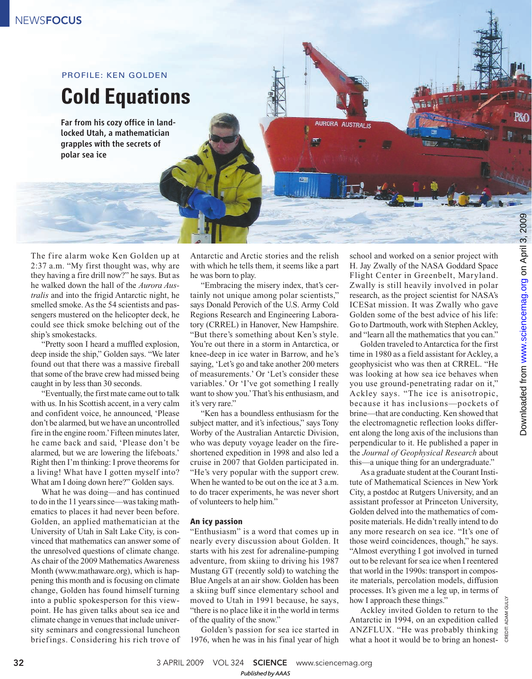# **Cold Equations** PROFILE: KEN GOLDEN

Far from his cozy office in landlocked Utah, a mathematician grapples with the secrets of polar sea ice

The fire alarm woke Ken Golden up at 2:37 a.m. "My first thought was, why are they having a fire drill now?" he says. But as he walked down the hall of the *Aurora Australis* and into the frigid Antarctic night, he smelled smoke. As the 54 scientists and passengers mustered on the helicopter deck, he could see thick smoke belching out of the ship's smokestacks.

"Pretty soon I heard a muffled explosion, deep inside the ship," Golden says. "We later found out that there was a massive fireball that some of the brave crew had missed being caught in by less than 30 seconds.

"Eventually, the first mate came out to talk with us. In his Scottish accent, in a very calm and confident voice, he announced, 'Please don't be alarmed, but we have an uncontrolled fire in the engine room.'Fifteen minutes later, he came back and said, 'Please don't be alarmed, but we are lowering the lifeboats.' Right then I'm thinking: I prove theorems for a living! What have I gotten myself into? What am I doing down here?" Golden says.

What he was doing—and has continued to do in the 11 years since—was taking mathematics to places it had never been before. Golden, an applied mathematician at the University of Utah in Salt Lake City, is convinced that mathematics can answer some of the unresolved questions of climate change. As chair of the 2009 Mathematics Awareness Month (www.mathaware.org), which is happening this month and is focusing on climate change, Golden has found himself turning into a public spokesperson for this viewpoint. He has given talks about sea ice and climate change in venues that include university seminars and congressional luncheon briefings. Considering his rich trove of

Antarctic and Arctic stories and the relish with which he tells them, it seems like a part he was born to play.

AURORA AUSTRALIS

回答

"Embracing the misery index, that's certainly not unique among polar scientists," says Donald Perovich of the U.S. Army Cold Regions Research and Engineering Laboratory (CRREL) in Hanover, New Hampshire. "But there's something about Ken's style. You're out there in a storm in Antarctica, or knee-deep in ice water in Barrow, and he's saying, 'Let's go and take another 200 meters of measurements.' Or 'Let's consider these variables.' Or 'I've got something I really want to show you.'That's his enthusiasm, and it's very rare."

"Ken has a boundless enthusiasm for the subject matter, and it's infectious," says Tony Worby of the Australian Antarctic Division, who was deputy voyage leader on the fireshortened expedition in 1998 and also led a cruise in 2007 that Golden participated in. "He's very popular with the support crew. When he wanted to be out on the ice at 3 a.m. to do tracer experiments, he was never short of volunteers to help him."

### **An icy passion**

"Enthusiasm" is a word that comes up in nearly every discussion about Golden. It starts with his zest for adrenaline-pumping adventure, from skiing to driving his 1987 Mustang GT (recently sold) to watching the Blue Angels at an air show. Golden has been a skiing buff since elementary school and moved to Utah in 1991 because, he says, "there is no place like it in the world in terms of the quality of the snow."

Golden's passion for sea ice started in 1976, when he was in his final year of high

school and worked on a senior project with H. Jay Zwally of the NASA Goddard Space Flight Center in Greenbelt, Maryland. Zwally is still heavily involved in polar research, as the project scientist for NASA's ICESat mission. It was Zwally who gave Golden some of the best advice of his life: Go to Dartmouth, work with Stephen Ackley, and "learn all the mathematics that you can."

Golden traveled to Antarctica for the first time in 1980 as a field assistant for Ackley, a geophysicist who was then at CRREL. "He was looking at how sea ice behaves when you use ground-penetrating radar on it," Ackley says. "The ice is anisotropic, because it has inclusions—pockets of brine—that are conducting. Ken showed that the electromagnetic reflection looks different along the long axis of the inclusions than perpendicular to it. He published a paper in the *Journal of Geophysical Research* about this—a unique thing for an undergraduate."

As a graduate student at the Courant Institute of Mathematical Sciences in New York City, a postdoc at Rutgers University, and an assistant professor at Princeton University, Golden delved into the mathematics of composite materials. He didn't really intend to do any more research on sea ice. "It's one of those weird coincidences, though," he says. "Almost everything I got involved in turned out to be relevant for sea ice when I reentered that world in the 1990s: transport in composite materials, percolation models, diffusion processes. It's given me a leg up, in terms of how I approach these things."

Ackley invited Golden to return to the Antarctic in 1994, on an expedition called ANZFLUX. "He was probably thinking what a hoot it would be to bring an honest**P&O** 

CREDIT: ADAM GULLY